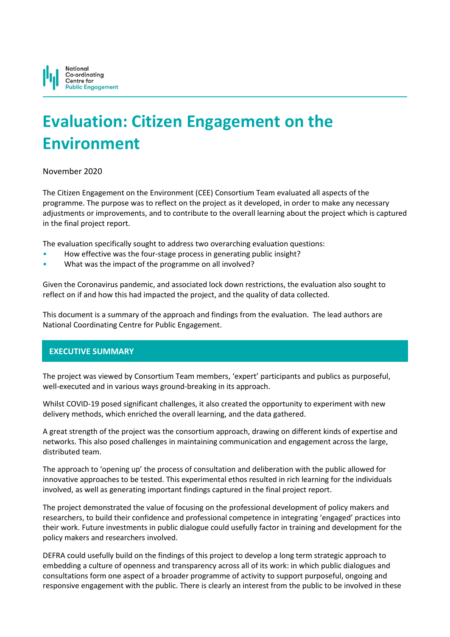

# **Evaluation: Citizen Engagement on the Environment**

# November 2020

The Citizen Engagement on the Environment (CEE) Consortium Team evaluated all aspects of the programme. The purpose was to reflect on the project as it developed, in order to make any necessary adjustments or improvements, and to contribute to the overall learning about the project which is captured in the final project report.

The evaluation specifically sought to address two overarching evaluation questions:

- How effective was the four-stage process in generating public insight?
- What was the impact of the programme on all involved?

Given the Coronavirus pandemic, and associated lock down restrictions, the evaluation also sought to reflect on if and how this had impacted the project, and the quality of data collected.

This document is a summary of the approach and findings from the evaluation. The lead authors are National Coordinating Centre for Public Engagement.

# **EXECUTIVE SUMMARY**

The project was viewed by Consortium Team members, 'expert' participants and publics as purposeful, well-executed and in various ways ground-breaking in its approach.

Whilst COVID-19 posed significant challenges, it also created the opportunity to experiment with new delivery methods, which enriched the overall learning, and the data gathered.

A great strength of the project was the consortium approach, drawing on different kinds of expertise and networks. This also posed challenges in maintaining communication and engagement across the large, distributed team.

The approach to 'opening up' the process of consultation and deliberation with the public allowed for innovative approaches to be tested. This experimental ethos resulted in rich learning for the individuals involved, as well as generating important findings captured in the final project report.

The project demonstrated the value of focusing on the professional development of policy makers and researchers, to build their confidence and professional competence in integrating 'engaged' practices into their work. Future investments in public dialogue could usefully factor in training and development for the policy makers and researchers involved.

DEFRA could usefully build on the findings of this project to develop a long term strategic approach to embedding a culture of openness and transparency across all of its work: in which public dialogues and consultations form one aspect of a broader programme of activity to support purposeful, ongoing and responsive engagement with the public. There is clearly an interest from the public to be involved in these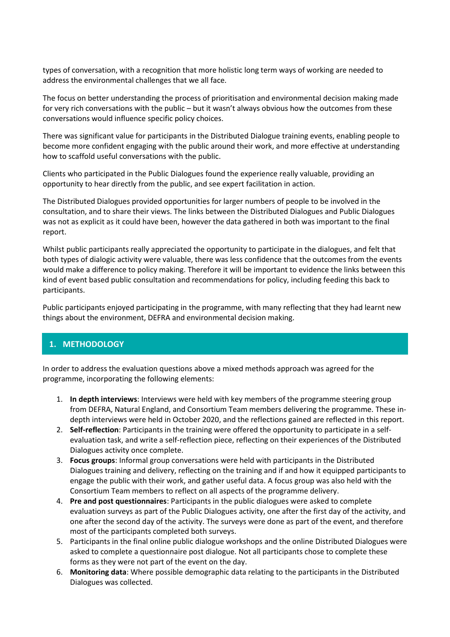types of conversation, with a recognition that more holistic long term ways of working are needed to address the environmental challenges that we all face.

The focus on better understanding the process of prioritisation and environmental decision making made for very rich conversations with the public – but it wasn't always obvious how the outcomes from these conversations would influence specific policy choices.

There was significant value for participants in the Distributed Dialogue training events, enabling people to become more confident engaging with the public around their work, and more effective at understanding how to scaffold useful conversations with the public.

Clients who participated in the Public Dialogues found the experience really valuable, providing an opportunity to hear directly from the public, and see expert facilitation in action.

The Distributed Dialogues provided opportunities for larger numbers of people to be involved in the consultation, and to share their views. The links between the Distributed Dialogues and Public Dialogues was not as explicit as it could have been, however the data gathered in both was important to the final report.

Whilst public participants really appreciated the opportunity to participate in the dialogues, and felt that both types of dialogic activity were valuable, there was less confidence that the outcomes from the events would make a difference to policy making. Therefore it will be important to evidence the links between this kind of event based public consultation and recommendations for policy, including feeding this back to participants.

Public participants enjoyed participating in the programme, with many reflecting that they had learnt new things about the environment, DEFRA and environmental decision making.

# **1. METHODOLOGY**

In order to address the evaluation questions above a mixed methods approach was agreed for the programme, incorporating the following elements:

- 1. **In depth interviews**: Interviews were held with key members of the programme steering group from DEFRA, Natural England, and Consortium Team members delivering the programme. These indepth interviews were held in October 2020, and the reflections gained are reflected in this report.
- 2. **Self-reflection**: Participants in the training were offered the opportunity to participate in a selfevaluation task, and write a self-reflection piece, reflecting on their experiences of the Distributed Dialogues activity once complete.
- 3. **Focus groups**: Informal group conversations were held with participants in the Distributed Dialogues training and delivery, reflecting on the training and if and how it equipped participants to engage the public with their work, and gather useful data. A focus group was also held with the Consortium Team members to reflect on all aspects of the programme delivery.
- 4. **Pre and post questionnaires**: Participants in the public dialogues were asked to complete evaluation surveys as part of the Public Dialogues activity, one after the first day of the activity, and one after the second day of the activity. The surveys were done as part of the event, and therefore most of the participants completed both surveys.
- 5. Participants in the final online public dialogue workshops and the online Distributed Dialogues were asked to complete a questionnaire post dialogue. Not all participants chose to complete these forms as they were not part of the event on the day.
- 6. **Monitoring data**: Where possible demographic data relating to the participants in the Distributed Dialogues was collected.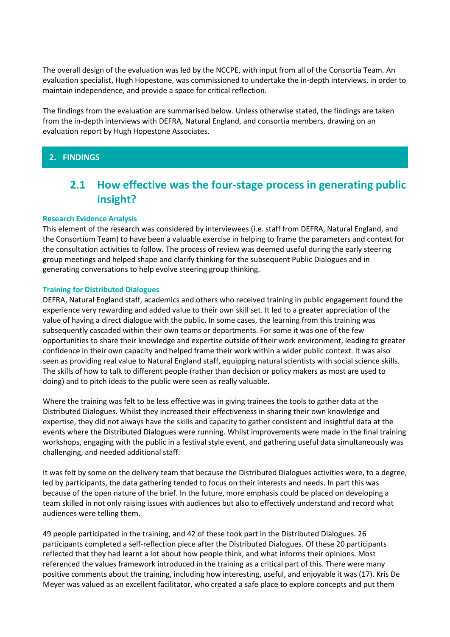The overall design of the evaluation was led by the NCCPE, with input from all of the Consortia Team. An evaluation specialist, Hugh Hopestone, was commissioned to undertake the in-depth interviews, in order to maintain independence, and provide a space for critical reflection.

The findings from the evaluation are summarised below. Unless otherwise stated, the findings are taken from the in-depth interviews with DEFRA, Natural England, and consortia members, drawing on an evaluation report by Hugh Hopestone Associates.

# **2. FINDINGS**

# **2.1 How effective was the four-stage process in generating public insight?**

### **Research Evidence Analysis**

This element of the research was considered by interviewees (i.e. staff from DEFRA, Natural England, and the Consortium Team) to have been a valuable exercise in helping to frame the parameters and context for the consultation activities to follow. The process of review was deemed useful during the early steering group meetings and helped shape and clarify thinking for the subsequent Public Dialogues and in generating conversations to help evolve steering group thinking.

### **Training for Distributed Dialogues**

DEFRA, Natural England staff, academics and others who received training in public engagement found the experience very rewarding and added value to their own skill set. It led to a greater appreciation of the value of having a direct dialogue with the public. In some cases, the learning from this training was subsequently cascaded within their own teams or departments. For some it was one of the few opportunities to share their knowledge and expertise outside of their work environment, leading to greater confidence in their own capacity and helped frame their work within a wider public context. It was also seen as providing real value to Natural England staff, equipping natural scientists with social science skills. The skills of how to talk to different people (rather than decision or policy makers as most are used to doing) and to pitch ideas to the public were seen as really valuable.

Where the training was felt to be less effective was in giving trainees the tools to gather data at the Distributed Dialogues. Whilst they increased their effectiveness in sharing their own knowledge and expertise, they did not always have the skills and capacity to gather consistent and insightful data at the events where the Distributed Dialogues were running. Whilst improvements were made in the final training workshops, engaging with the public in a festival style event, and gathering useful data simultaneously was challenging, and needed additional staff.

It was felt by some on the delivery team that because the Distributed Dialogues activities were, to a degree, led by participants, the data gathering tended to focus on their interests and needs. In part this was because of the open nature of the brief. In the future, more emphasis could be placed on developing a team skilled in not only raising issues with audiences but also to effectively understand and record what audiences were telling them.

49 people participated in the training, and 42 of these took part in the Distributed Dialogues. 26 participants completed a self-reflection piece after the Distributed Dialogues. Of these 20 participants reflected that they had learnt a lot about how people think, and what informs their opinions. Most referenced the values framework introduced in the training as a critical part of this. There were many positive comments about the training, including how interesting, useful, and enjoyable it was (17). Kris De Meyer was valued as an excellent facilitator, who created a safe place to explore concepts and put them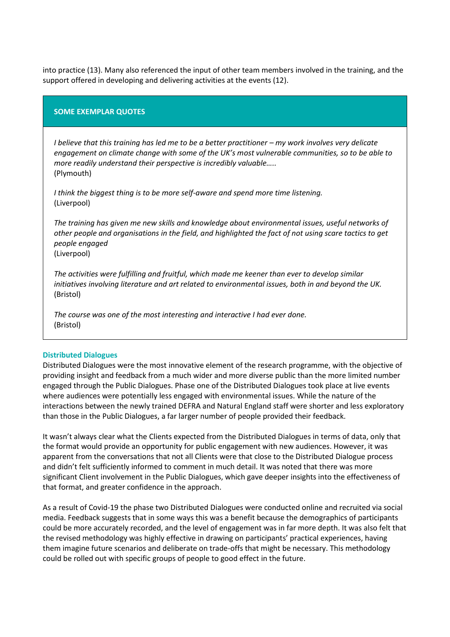into practice (13). Many also referenced the input of other team members involved in the training, and the support offered in developing and delivering activities at the events (12).

### **SOME EXEMPLAR QUOTES**

*I* believe that this training has led me to be a better practitioner – my work involves very delicate *engagement on climate change with some of the UK's most vulnerable communities, so to be able to more readily understand their perspective is incredibly valuable…..* (Plymouth)

*I think the biggest thing is to be more self-aware and spend more time listening.* (Liverpool)

*The training has given me new skills and knowledge about environmental issues, useful networks of other people and organisations in the field, and highlighted the fact of not using scare tactics to get people engaged* (Liverpool)

*The activities were fulfilling and fruitful, which made me keener than ever to develop similar initiatives involving literature and art related to environmental issues, both in and beyond the UK.* (Bristol)

*The course was one of the most interesting and interactive I had ever done.*  (Bristol)

#### **Distributed Dialogues**

Distributed Dialogues were the most innovative element of the research programme, with the objective of providing insight and feedback from a much wider and more diverse public than the more limited number engaged through the Public Dialogues. Phase one of the Distributed Dialogues took place at live events where audiences were potentially less engaged with environmental issues. While the nature of the interactions between the newly trained DEFRA and Natural England staff were shorter and less exploratory than those in the Public Dialogues, a far larger number of people provided their feedback.

It wasn't always clear what the Clients expected from the Distributed Dialogues in terms of data, only that the format would provide an opportunity for public engagement with new audiences. However, it was apparent from the conversations that not all Clients were that close to the Distributed Dialogue process and didn't felt sufficiently informed to comment in much detail. It was noted that there was more significant Client involvement in the Public Dialogues, which gave deeper insights into the effectiveness of that format, and greater confidence in the approach.

As a result of Covid-19 the phase two Distributed Dialogues were conducted online and recruited via social media. Feedback suggests that in some ways this was a benefit because the demographics of participants could be more accurately recorded, and the level of engagement was in far more depth. It was also felt that the revised methodology was highly effective in drawing on participants' practical experiences, having them imagine future scenarios and deliberate on trade-offs that might be necessary. This methodology could be rolled out with specific groups of people to good effect in the future.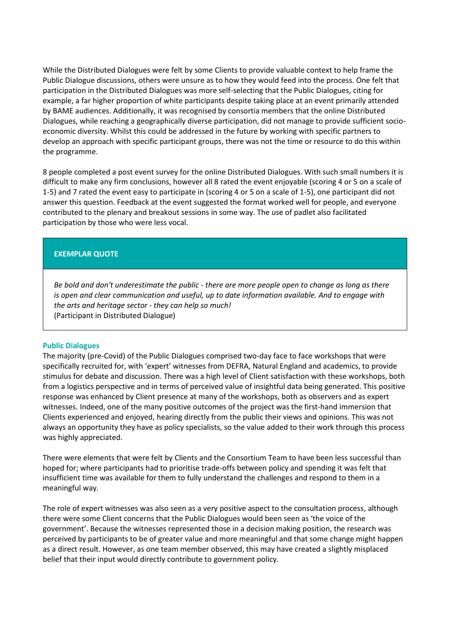While the Distributed Dialogues were felt by some Clients to provide valuable context to help frame the Public Dialogue discussions, others were unsure as to how they would feed into the process. One felt that participation in the Distributed Dialogues was more self-selecting that the Public Dialogues, citing for example, a far higher proportion of white participants despite taking place at an event primarily attended by BAME audiences. Additionally, it was recognised by consortia members that the online Distributed Dialogues, while reaching a geographically diverse participation, did not manage to provide sufficient socioeconomic diversity. Whilst this could be addressed in the future by working with specific partners to develop an approach with specific participant groups, there was not the time or resource to do this within the programme.

8 people completed a post event survey for the online Distributed Dialogues. With such small numbers it is difficult to make any firm conclusions, however all 8 rated the event enjoyable (scoring 4 or 5 on a scale of 1-5) and 7 rated the event easy to participate in (scoring 4 or 5 on a scale of 1-5), one participant did not answer this question. Feedback at the event suggested the format worked well for people, and everyone contributed to the plenary and breakout sessions in some way. The use of padlet also facilitated participation by those who were less vocal.

# **EXEMPLAR QUOTE**

*Be bold and don't underestimate the public - there are more people open to change as long as there is open and clear communication and useful, up to date information available. And to engage with the arts and heritage sector - they can help so much!* (Participant in Distributed Dialogue)

## **Public Dialogues**

The majority (pre-Covid) of the Public Dialogues comprised two-day face to face workshops that were specifically recruited for, with 'expert' witnesses from DEFRA, Natural England and academics, to provide stimulus for debate and discussion. There was a high level of Client satisfaction with these workshops, both from a logistics perspective and in terms of perceived value of insightful data being generated. This positive response was enhanced by Client presence at many of the workshops, both as observers and as expert witnesses. Indeed, one of the many positive outcomes of the project was the first-hand immersion that Clients experienced and enjoyed, hearing directly from the public their views and opinions. This was not always an opportunity they have as policy specialists, so the value added to their work through this process was highly appreciated.

There were elements that were felt by Clients and the Consortium Team to have been less successful than hoped for; where participants had to prioritise trade-offs between policy and spending it was felt that insufficient time was available for them to fully understand the challenges and respond to them in a meaningful way.

The role of expert witnesses was also seen as a very positive aspect to the consultation process, although there were some Client concerns that the Public Dialogues would been seen as 'the voice of the government'. Because the witnesses represented those in a decision making position, the research was perceived by participants to be of greater value and more meaningful and that some change might happen as a direct result. However, as one team member observed, this may have created a slightly misplaced belief that their input would directly contribute to government policy.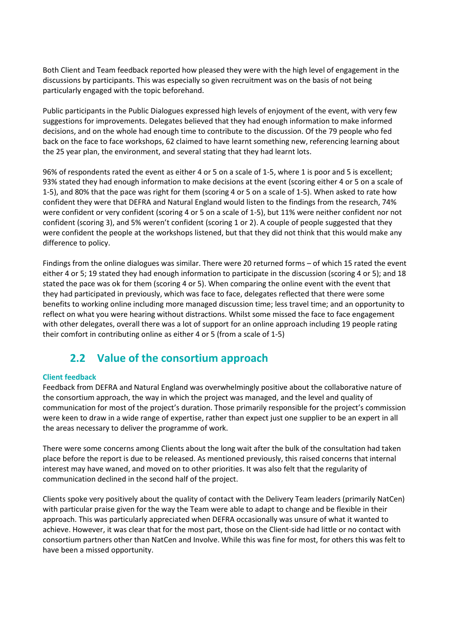Both Client and Team feedback reported how pleased they were with the high level of engagement in the discussions by participants. This was especially so given recruitment was on the basis of not being particularly engaged with the topic beforehand.

Public participants in the Public Dialogues expressed high levels of enjoyment of the event, with very few suggestions for improvements. Delegates believed that they had enough information to make informed decisions, and on the whole had enough time to contribute to the discussion. Of the 79 people who fed back on the face to face workshops, 62 claimed to have learnt something new, referencing learning about the 25 year plan, the environment, and several stating that they had learnt lots.

96% of respondents rated the event as either 4 or 5 on a scale of 1-5, where 1 is poor and 5 is excellent; 93% stated they had enough information to make decisions at the event (scoring either 4 or 5 on a scale of 1-5), and 80% that the pace was right for them (scoring 4 or 5 on a scale of 1-5). When asked to rate how confident they were that DEFRA and Natural England would listen to the findings from the research, 74% were confident or very confident (scoring 4 or 5 on a scale of 1-5), but 11% were neither confident nor not confident (scoring 3), and 5% weren't confident (scoring 1 or 2). A couple of people suggested that they were confident the people at the workshops listened, but that they did not think that this would make any difference to policy.

Findings from the online dialogues was similar. There were 20 returned forms – of which 15 rated the event either 4 or 5; 19 stated they had enough information to participate in the discussion (scoring 4 or 5); and 18 stated the pace was ok for them (scoring 4 or 5). When comparing the online event with the event that they had participated in previously, which was face to face, delegates reflected that there were some benefits to working online including more managed discussion time; less travel time; and an opportunity to reflect on what you were hearing without distractions. Whilst some missed the face to face engagement with other delegates, overall there was a lot of support for an online approach including 19 people rating their comfort in contributing online as either 4 or 5 (from a scale of 1-5)

# **2.2 Value of the consortium approach**

# **Client feedback**

Feedback from DEFRA and Natural England was overwhelmingly positive about the collaborative nature of the consortium approach, the way in which the project was managed, and the level and quality of communication for most of the project's duration. Those primarily responsible for the project's commission were keen to draw in a wide range of expertise, rather than expect just one supplier to be an expert in all the areas necessary to deliver the programme of work.

There were some concerns among Clients about the long wait after the bulk of the consultation had taken place before the report is due to be released. As mentioned previously, this raised concerns that internal interest may have waned, and moved on to other priorities. It was also felt that the regularity of communication declined in the second half of the project.

Clients spoke very positively about the quality of contact with the Delivery Team leaders (primarily NatCen) with particular praise given for the way the Team were able to adapt to change and be flexible in their approach. This was particularly appreciated when DEFRA occasionally was unsure of what it wanted to achieve. However, it was clear that for the most part, those on the Client-side had little or no contact with consortium partners other than NatCen and Involve. While this was fine for most, for others this was felt to have been a missed opportunity.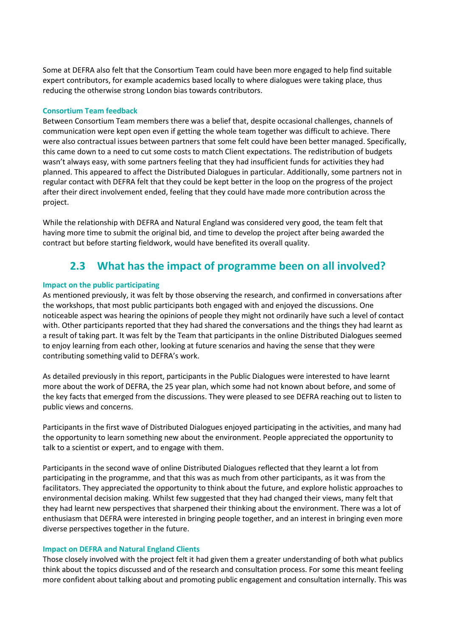Some at DEFRA also felt that the Consortium Team could have been more engaged to help find suitable expert contributors, for example academics based locally to where dialogues were taking place, thus reducing the otherwise strong London bias towards contributors.

## **Consortium Team feedback**

Between Consortium Team members there was a belief that, despite occasional challenges, channels of communication were kept open even if getting the whole team together was difficult to achieve. There were also contractual issues between partners that some felt could have been better managed. Specifically, this came down to a need to cut some costs to match Client expectations. The redistribution of budgets wasn't always easy, with some partners feeling that they had insufficient funds for activities they had planned. This appeared to affect the Distributed Dialogues in particular. Additionally, some partners not in regular contact with DEFRA felt that they could be kept better in the loop on the progress of the project after their direct involvement ended, feeling that they could have made more contribution across the project.

While the relationship with DEFRA and Natural England was considered very good, the team felt that having more time to submit the original bid, and time to develop the project after being awarded the contract but before starting fieldwork, would have benefited its overall quality.

# **2.3 What has the impact of programme been on all involved?**

### **Impact on the public participating**

As mentioned previously, it was felt by those observing the research, and confirmed in conversations after the workshops, that most public participants both engaged with and enjoyed the discussions. One noticeable aspect was hearing the opinions of people they might not ordinarily have such a level of contact with. Other participants reported that they had shared the conversations and the things they had learnt as a result of taking part. It was felt by the Team that participants in the online Distributed Dialogues seemed to enjoy learning from each other, looking at future scenarios and having the sense that they were contributing something valid to DEFRA's work.

As detailed previously in this report, participants in the Public Dialogues were interested to have learnt more about the work of DEFRA, the 25 year plan, which some had not known about before, and some of the key facts that emerged from the discussions. They were pleased to see DEFRA reaching out to listen to public views and concerns.

Participants in the first wave of Distributed Dialogues enjoyed participating in the activities, and many had the opportunity to learn something new about the environment. People appreciated the opportunity to talk to a scientist or expert, and to engage with them.

Participants in the second wave of online Distributed Dialogues reflected that they learnt a lot from participating in the programme, and that this was as much from other participants, as it was from the facilitators. They appreciated the opportunity to think about the future, and explore holistic approaches to environmental decision making. Whilst few suggested that they had changed their views, many felt that they had learnt new perspectives that sharpened their thinking about the environment. There was a lot of enthusiasm that DEFRA were interested in bringing people together, and an interest in bringing even more diverse perspectives together in the future.

#### **Impact on DEFRA and Natural England Clients**

Those closely involved with the project felt it had given them a greater understanding of both what publics think about the topics discussed and of the research and consultation process. For some this meant feeling more confident about talking about and promoting public engagement and consultation internally. This was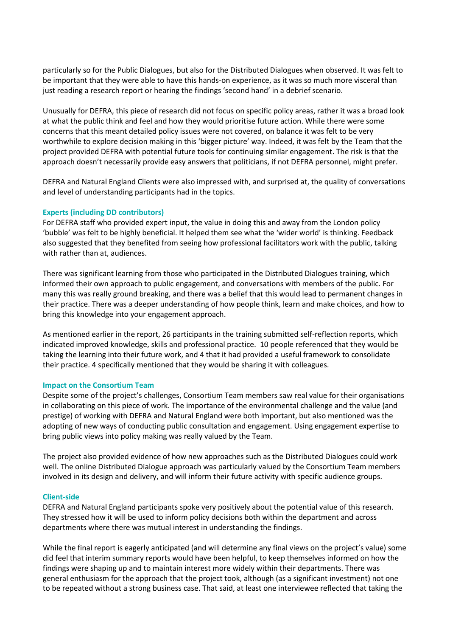particularly so for the Public Dialogues, but also for the Distributed Dialogues when observed. It was felt to be important that they were able to have this hands-on experience, as it was so much more visceral than just reading a research report or hearing the findings 'second hand' in a debrief scenario.

Unusually for DEFRA, this piece of research did not focus on specific policy areas, rather it was a broad look at what the public think and feel and how they would prioritise future action. While there were some concerns that this meant detailed policy issues were not covered, on balance it was felt to be very worthwhile to explore decision making in this 'bigger picture' way. Indeed, it was felt by the Team that the project provided DEFRA with potential future tools for continuing similar engagement. The risk is that the approach doesn't necessarily provide easy answers that politicians, if not DEFRA personnel, might prefer.

DEFRA and Natural England Clients were also impressed with, and surprised at, the quality of conversations and level of understanding participants had in the topics.

### **Experts (including DD contributors)**

For DEFRA staff who provided expert input, the value in doing this and away from the London policy 'bubble' was felt to be highly beneficial. It helped them see what the 'wider world' is thinking. Feedback also suggested that they benefited from seeing how professional facilitators work with the public, talking with rather than at, audiences.

There was significant learning from those who participated in the Distributed Dialogues training, which informed their own approach to public engagement, and conversations with members of the public. For many this was really ground breaking, and there was a belief that this would lead to permanent changes in their practice. There was a deeper understanding of how people think, learn and make choices, and how to bring this knowledge into your engagement approach.

As mentioned earlier in the report, 26 participants in the training submitted self-reflection reports, which indicated improved knowledge, skills and professional practice. 10 people referenced that they would be taking the learning into their future work, and 4 that it had provided a useful framework to consolidate their practice. 4 specifically mentioned that they would be sharing it with colleagues.

#### **Impact on the Consortium Team**

Despite some of the project's challenges, Consortium Team members saw real value for their organisations in collaborating on this piece of work. The importance of the environmental challenge and the value (and prestige) of working with DEFRA and Natural England were both important, but also mentioned was the adopting of new ways of conducting public consultation and engagement. Using engagement expertise to bring public views into policy making was really valued by the Team.

The project also provided evidence of how new approaches such as the Distributed Dialogues could work well. The online Distributed Dialogue approach was particularly valued by the Consortium Team members involved in its design and delivery, and will inform their future activity with specific audience groups.

#### **Client-side**

DEFRA and Natural England participants spoke very positively about the potential value of this research. They stressed how it will be used to inform policy decisions both within the department and across departments where there was mutual interest in understanding the findings.

While the final report is eagerly anticipated (and will determine any final views on the project's value) some did feel that interim summary reports would have been helpful, to keep themselves informed on how the findings were shaping up and to maintain interest more widely within their departments. There was general enthusiasm for the approach that the project took, although (as a significant investment) not one to be repeated without a strong business case. That said, at least one interviewee reflected that taking the